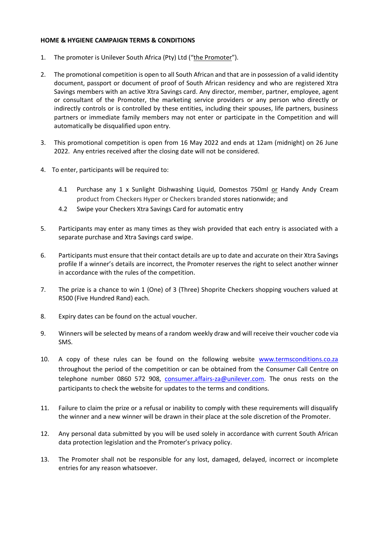## **HOME & HYGIENE CAMPAIGN TERMS & CONDITIONS**

- 1. The promoter is Unilever South Africa (Pty) Ltd ("the Promoter").
- 2. The promotional competition is open to all South African and that are in possession of a valid identity document, passport or document of proof of South African residency and who are registered Xtra Savings members with an active Xtra Savings card. Any director, member, partner, employee, agent or consultant of the Promoter, the marketing service providers or any person who directly or indirectly controls or is controlled by these entities, including their spouses, life partners, business partners or immediate family members may not enter or participate in the Competition and will automatically be disqualified upon entry.
- 3. This promotional competition is open from 16 May 2022 and ends at 12am (midnight) on 26 June 2022. Any entries received after the closing date will not be considered.
- 4. To enter, participants will be required to:
	- 4.1 Purchase any 1 x Sunlight Dishwashing Liquid, Domestos 750ml or Handy Andy Cream product from Checkers Hyper or Checkers branded stores nationwide; and
	- 4.2 Swipe your Checkers Xtra Savings Card for automatic entry
- 5. Participants may enter as many times as they wish provided that each entry is associated with a separate purchase and Xtra Savings card swipe.
- 6. Participants must ensure that their contact details are up to date and accurate on their Xtra Savings profile If a winner's details are incorrect, the Promoter reserves the right to select another winner in accordance with the rules of the competition.
- 7. The prize is a chance to win 1 (One) of 3 (Three) Shoprite Checkers shopping vouchers valued at R500 (Five Hundred Rand) each.
- 8. Expiry dates can be found on the actual voucher.
- 9. Winners will be selected by means of a random weekly draw and will receive their voucher code via SMS.
- 10. A copy of these rules can be found on the following website [www.termsconditions.co.za](http://www.termsconditions.co.za/) throughout the period of the competition or can be obtained from the Consumer Call Centre on telephone number 0860 572 908, [consumer.affairs-za@unilever.com.](mailto:consumer.affairs-za@unilever.com) The onus rests on the participants to check the website for updates to the terms and conditions.
- 11. Failure to claim the prize or a refusal or inability to comply with these requirements will disqualify the winner and a new winner will be drawn in their place at the sole discretion of the Promoter.
- 12. Any personal data submitted by you will be used solely in accordance with current South African data protection legislation and the Promoter's privacy policy.
- 13. The Promoter shall not be responsible for any lost, damaged, delayed, incorrect or incomplete entries for any reason whatsoever.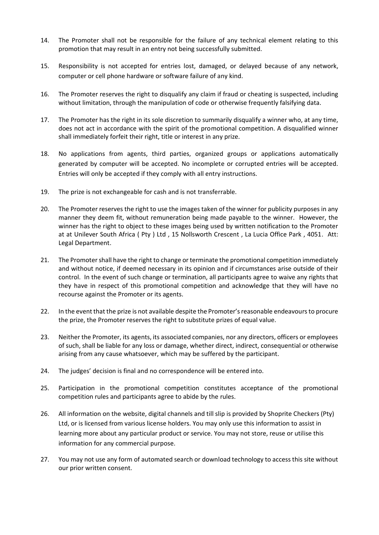- 14. The Promoter shall not be responsible for the failure of any technical element relating to this promotion that may result in an entry not being successfully submitted.
- 15. Responsibility is not accepted for entries lost, damaged, or delayed because of any network, computer or cell phone hardware or software failure of any kind.
- 16. The Promoter reserves the right to disqualify any claim if fraud or cheating is suspected, including without limitation, through the manipulation of code or otherwise frequently falsifying data.
- 17. The Promoter has the right in its sole discretion to summarily disqualify a winner who, at any time, does not act in accordance with the spirit of the promotional competition. A disqualified winner shall immediately forfeit their right, title or interest in any prize.
- 18. No applications from agents, third parties, organized groups or applications automatically generated by computer will be accepted. No incomplete or corrupted entries will be accepted. Entries will only be accepted if they comply with all entry instructions.
- 19. The prize is not exchangeable for cash and is not transferrable.
- 20. The Promoter reserves the right to use the images taken of the winner for publicity purposes in any manner they deem fit, without remuneration being made payable to the winner. However, the winner has the right to object to these images being used by written notification to the Promoter at at Unilever South Africa ( Pty ) Ltd , 15 Nollsworth Crescent , La Lucia Office Park , 4051. Att: Legal Department.
- 21. The Promoter shall have the right to change or terminate the promotional competition immediately and without notice, if deemed necessary in its opinion and if circumstances arise outside of their control. In the event of such change or termination, all participants agree to waive any rights that they have in respect of this promotional competition and acknowledge that they will have no recourse against the Promoter or its agents.
- 22. In the event that the prize is not available despite the Promoter's reasonable endeavours to procure the prize, the Promoter reserves the right to substitute prizes of equal value.
- 23. Neither the Promoter, its agents, its associated companies, nor any directors, officers or employees of such, shall be liable for any loss or damage, whether direct, indirect, consequential or otherwise arising from any cause whatsoever, which may be suffered by the participant.
- 24. The judges' decision is final and no correspondence will be entered into.
- 25. Participation in the promotional competition constitutes acceptance of the promotional competition rules and participants agree to abide by the rules.
- 26. All information on the website, digital channels and till slip is provided by Shoprite Checkers (Pty) Ltd, or is licensed from various license holders. You may only use this information to assist in learning more about any particular product or service. You may not store, reuse or utilise this information for any commercial purpose.
- 27. You may not use any form of automated search or download technology to access this site without our prior written consent.